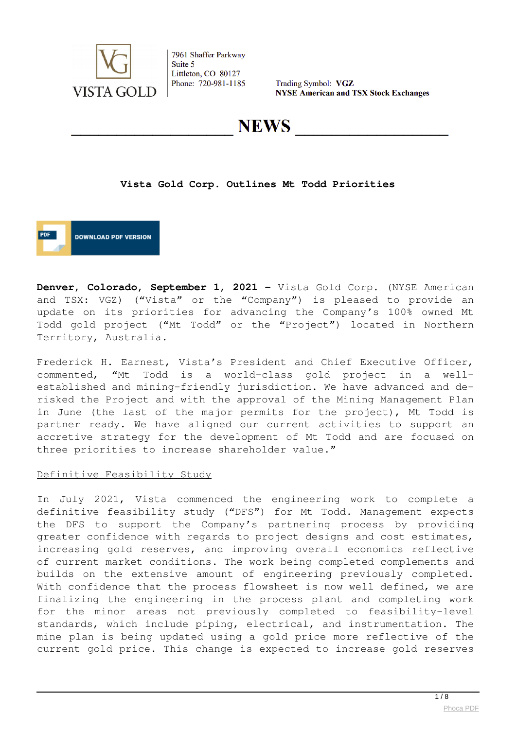

Trading Symbol: VGZ **NYSE American and TSX Stock Exchanges** 

**NEWS** 

#### **Vista Gold Corp. Outlines Mt Todd Priorities**

**DOWNLOAD PDF VERSION** 

**Denver, Colorado, September 1, 2021 –** Vista Gold Corp. (NYSE American and TSX: VGZ) ("Vista" or the "Company") is pleased to provide an update on its priorities for advancing the Company's 100% owned Mt Todd gold project ("Mt Todd" or the "Project") located in Northern Territory, Australia.

Frederick H. Earnest, Vista's President and Chief Executive Officer, commented, "Mt Todd is a world-class gold project in a wellestablished and mining-friendly jurisdiction. We have advanced and derisked the Project and with the approval of the Mining Management Plan in June (the last of the major permits for the project), Mt Todd is partner ready. We have aligned our current activities to support an accretive strategy for the development of Mt Todd and are focused on three priorities to increase shareholder value."

#### Definitive Feasibility Study

In July 2021, Vista commenced the engineering work to complete a definitive feasibility study ("DFS") for Mt Todd. Management expects the DFS to support the Company's partnering process by providing greater confidence with regards to project designs and cost estimates, increasing gold reserves, and improving overall economics reflective of current market conditions. The work being completed complements and builds on the extensive amount of engineering previously completed. With confidence that the process flowsheet is now well defined, we are finalizing the engineering in the process plant and completing work for the minor areas not previously completed to feasibility-level standards, which include piping, electrical, and instrumentation. The mine plan is being updated using a gold price more reflective of the current gold price. This change is expected to increase gold reserves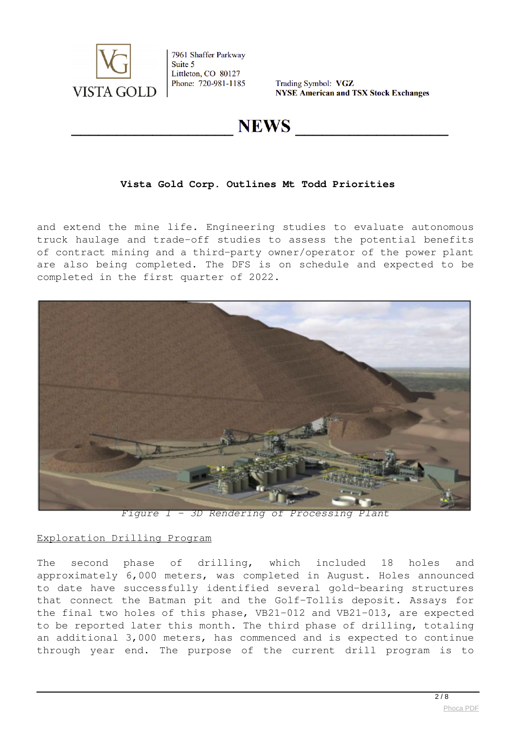

Trading Symbol: VGZ **NYSE American and TSX Stock Exchanges** 

## **NEWS**

## **Vista Gold Corp. Outlines Mt Todd Priorities**

and extend the mine life. Engineering studies to evaluate autonomous truck haulage and trade-off studies to assess the potential benefits of contract mining and a third-party owner/operator of the power plant are also being completed. The DFS is on schedule and expected to be completed in the first quarter of 2022.



*Figure 1 – 3D Rendering of Processing Plant*

#### Exploration Drilling Program

The second phase of drilling, which included 18 holes and approximately 6,000 meters, was completed in August. Holes announced to date have successfully identified several gold-bearing structures that connect the Batman pit and the Golf-Tollis deposit. Assays for the final two holes of this phase, VB21-012 and VB21-013, are expected to be reported later this month. The third phase of drilling, totaling an additional 3,000 meters, has commenced and is expected to continue through year end. The purpose of the current drill program is to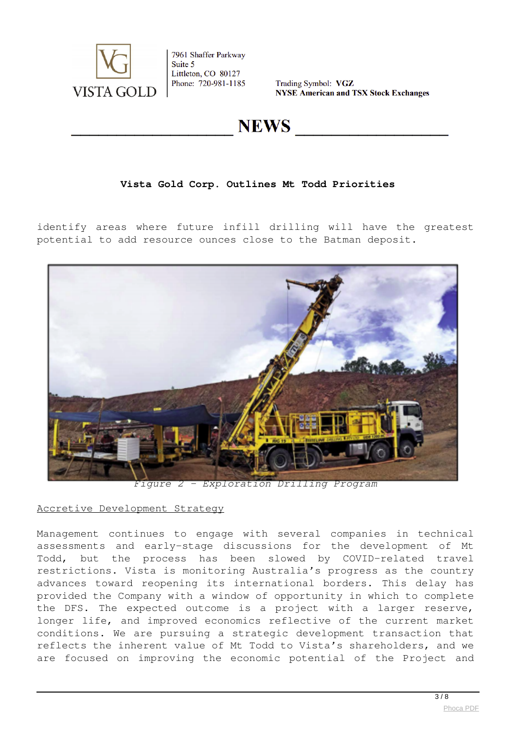

Trading Symbol: VGZ **NYSE American and TSX Stock Exchanges** 

# **NEWS**

## **Vista Gold Corp. Outlines Mt Todd Priorities**

identify areas where future infill drilling will have the greatest potential to add resource ounces close to the Batman deposit.



*Figure 2 – Exploration Drilling Program*

#### Accretive Development Strategy

Management continues to engage with several companies in technical assessments and early-stage discussions for the development of Mt Todd, but the process has been slowed by COVID-related travel restrictions. Vista is monitoring Australia's progress as the country advances toward reopening its international borders. This delay has provided the Company with a window of opportunity in which to complete the DFS. The expected outcome is a project with a larger reserve, longer life, and improved economics reflective of the current market conditions. We are pursuing a strategic development transaction that reflects the inherent value of Mt Todd to Vista's shareholders, and we are focused on improving the economic potential of the Project and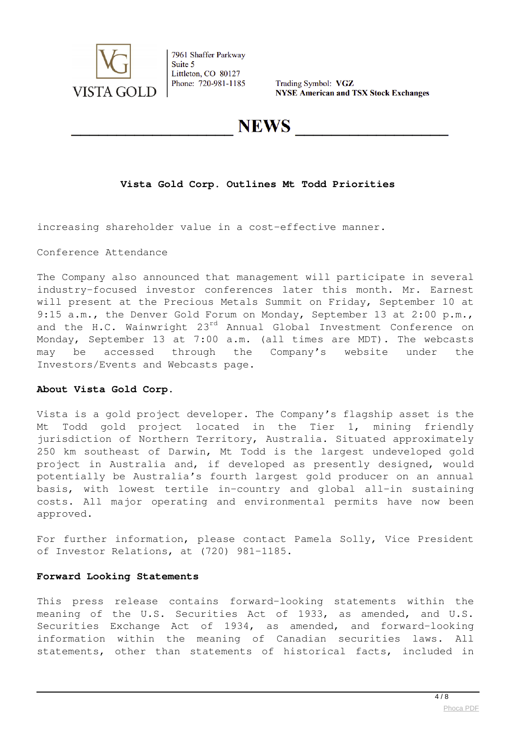

Trading Symbol: VGZ **NYSE American and TSX Stock Exchanges** 

## **NEWS**

## **Vista Gold Corp. Outlines Mt Todd Priorities**

increasing shareholder value in a cost-effective manner.

Conference Attendance

The Company also announced that management will participate in several industry-focused investor conferences later this month. Mr. Earnest will present at the Precious Metals Summit on Friday, September 10 at 9:15 a.m., the Denver Gold Forum on Monday, September 13 at 2:00 p.m., and the H.C. Wainwright 23<sup>rd</sup> Annual Global Investment Conference on Monday, September 13 at 7:00 a.m. (all times are MDT). The webcasts may be accessed through the Company's website under the Investors/Events and Webcasts page.

#### **About Vista Gold Corp.**

Vista is a gold project developer. The Company's flagship asset is the Mt Todd gold project located in the Tier 1, mining friendly jurisdiction of Northern Territory, Australia. Situated approximately 250 km southeast of Darwin, Mt Todd is the largest undeveloped gold project in Australia and, if developed as presently designed, would potentially be Australia's fourth largest gold producer on an annual basis, with lowest tertile in-country and global all-in sustaining costs. All major operating and environmental permits have now been approved.

For further information, please contact Pamela Solly, Vice President of Investor Relations, at (720) 981-1185.

#### **Forward Looking Statements**

This press release contains forward-looking statements within the meaning of the U.S. Securities Act of 1933, as amended, and U.S. Securities Exchange Act of 1934, as amended, and forward-looking information within the meaning of Canadian securities laws. All statements, other than statements of historical facts, included in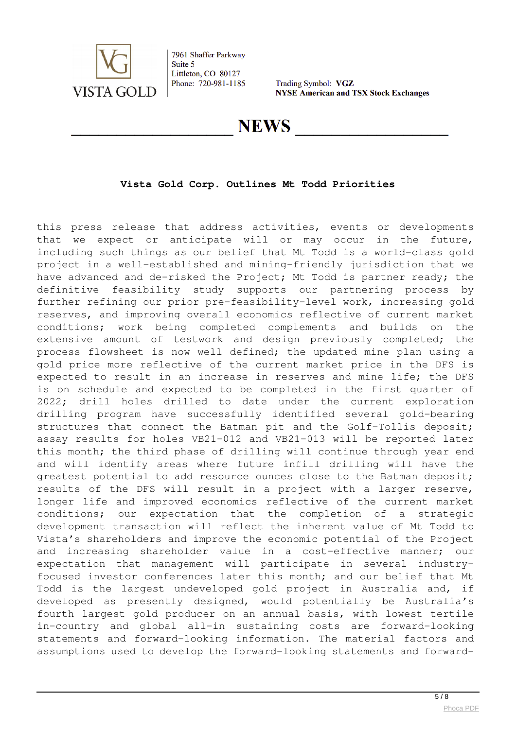

Trading Symbol: VGZ **NYSE American and TSX Stock Exchanges** 

## **NEWS**

## **Vista Gold Corp. Outlines Mt Todd Priorities**

this press release that address activities, events or developments that we expect or anticipate will or may occur in the future, including such things as our belief that Mt Todd is a world-class gold project in a well-established and mining-friendly jurisdiction that we have advanced and de-risked the Project; Mt Todd is partner ready; the definitive feasibility study supports our partnering process by further refining our prior pre-feasibility-level work, increasing gold reserves, and improving overall economics reflective of current market conditions; work being completed complements and builds on the extensive amount of testwork and design previously completed; the process flowsheet is now well defined; the updated mine plan using a gold price more reflective of the current market price in the DFS is expected to result in an increase in reserves and mine life; the DFS is on schedule and expected to be completed in the first quarter of 2022; drill holes drilled to date under the current exploration drilling program have successfully identified several gold-bearing structures that connect the Batman pit and the Golf-Tollis deposit; assay results for holes VB21-012 and VB21-013 will be reported later this month; the third phase of drilling will continue through year end and will identify areas where future infill drilling will have the greatest potential to add resource ounces close to the Batman deposit; results of the DFS will result in a project with a larger reserve, longer life and improved economics reflective of the current market conditions; our expectation that the completion of a strategic development transaction will reflect the inherent value of Mt Todd to Vista's shareholders and improve the economic potential of the Project and increasing shareholder value in a cost-effective manner; our expectation that management will participate in several industryfocused investor conferences later this month; and our belief that Mt Todd is the largest undeveloped gold project in Australia and, if developed as presently designed, would potentially be Australia's fourth largest gold producer on an annual basis, with lowest tertile in-country and global all-in sustaining costs are forward-looking statements and forward-looking information. The material factors and assumptions used to develop the forward-looking statements and forward-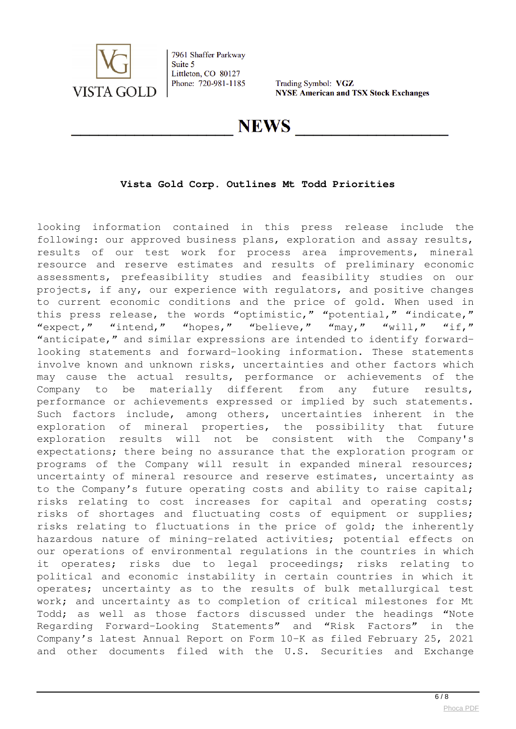

Trading Symbol: VGZ **NYSE American and TSX Stock Exchanges** 

## **NEWS**

## **Vista Gold Corp. Outlines Mt Todd Priorities**

looking information contained in this press release include the following: our approved business plans, exploration and assay results, results of our test work for process area improvements, mineral resource and reserve estimates and results of preliminary economic assessments, prefeasibility studies and feasibility studies on our projects, if any, our experience with regulators, and positive changes to current economic conditions and the price of gold. When used in this press release, the words "optimistic," "potential," "indicate," "expect," "intend," "hopes," "believe," "may," "will," "if," "anticipate," and similar expressions are intended to identify forwardlooking statements and forward-looking information. These statements involve known and unknown risks, uncertainties and other factors which may cause the actual results, performance or achievements of the Company to be materially different from any future results, performance or achievements expressed or implied by such statements. Such factors include, among others, uncertainties inherent in the exploration of mineral properties, the possibility that future exploration results will not be consistent with the Company's expectations; there being no assurance that the exploration program or programs of the Company will result in expanded mineral resources; uncertainty of mineral resource and reserve estimates, uncertainty as to the Company's future operating costs and ability to raise capital; risks relating to cost increases for capital and operating costs; risks of shortages and fluctuating costs of equipment or supplies; risks relating to fluctuations in the price of gold; the inherently hazardous nature of mining-related activities; potential effects on our operations of environmental regulations in the countries in which it operates; risks due to legal proceedings; risks relating to political and economic instability in certain countries in which it operates; uncertainty as to the results of bulk metallurgical test work; and uncertainty as to completion of critical milestones for Mt Todd; as well as those factors discussed under the headings "Note Regarding Forward-Looking Statements" and "Risk Factors" in the Company's latest Annual Report on Form 10-K as filed February 25, 2021 and other documents filed with the U.S. Securities and Exchange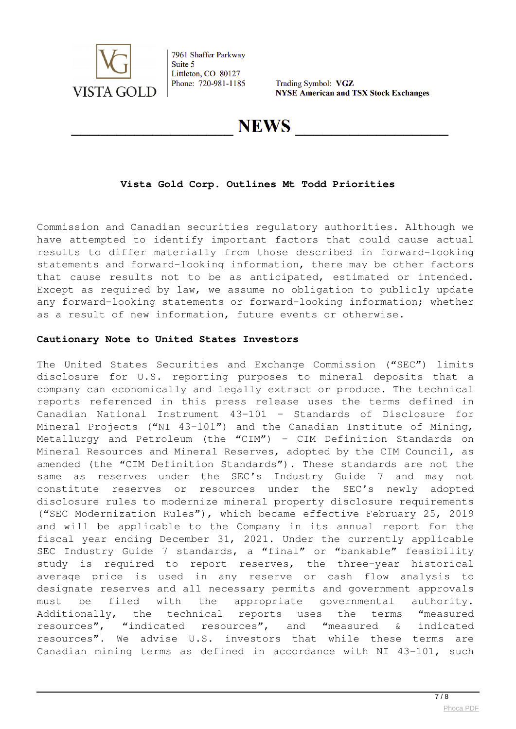

Trading Symbol: VGZ **NYSE American and TSX Stock Exchanges** 

**NEWS** 

### **Vista Gold Corp. Outlines Mt Todd Priorities**

Commission and Canadian securities regulatory authorities. Although we have attempted to identify important factors that could cause actual results to differ materially from those described in forward-looking statements and forward-looking information, there may be other factors that cause results not to be as anticipated, estimated or intended. Except as required by law, we assume no obligation to publicly update any forward-looking statements or forward-looking information; whether as a result of new information, future events or otherwise.

#### **Cautionary Note to United States Investors**

The United States Securities and Exchange Commission ("SEC") limits disclosure for U.S. reporting purposes to mineral deposits that a company can economically and legally extract or produce. The technical reports referenced in this press release uses the terms defined in Canadian National Instrument 43-101 – Standards of Disclosure for Mineral Projects ("NI 43-101") and the Canadian Institute of Mining, Metallurgy and Petroleum (the "CIM") – CIM Definition Standards on Mineral Resources and Mineral Reserves, adopted by the CIM Council, as amended (the "CIM Definition Standards"). These standards are not the same as reserves under the SEC's Industry Guide 7 and may not constitute reserves or resources under the SEC's newly adopted disclosure rules to modernize mineral property disclosure requirements ("SEC Modernization Rules"), which became effective February 25, 2019 and will be applicable to the Company in its annual report for the fiscal year ending December 31, 2021. Under the currently applicable SEC Industry Guide 7 standards, a "final" or "bankable" feasibility study is required to report reserves, the three-year historical average price is used in any reserve or cash flow analysis to designate reserves and all necessary permits and government approvals must be filed with the appropriate governmental authority. Additionally, the technical reports uses the terms "measured resources", "indicated resources", and "measured & indicated resources". We advise U.S. investors that while these terms are Canadian mining terms as defined in accordance with NI 43-101, such

 $\frac{7}{8}$